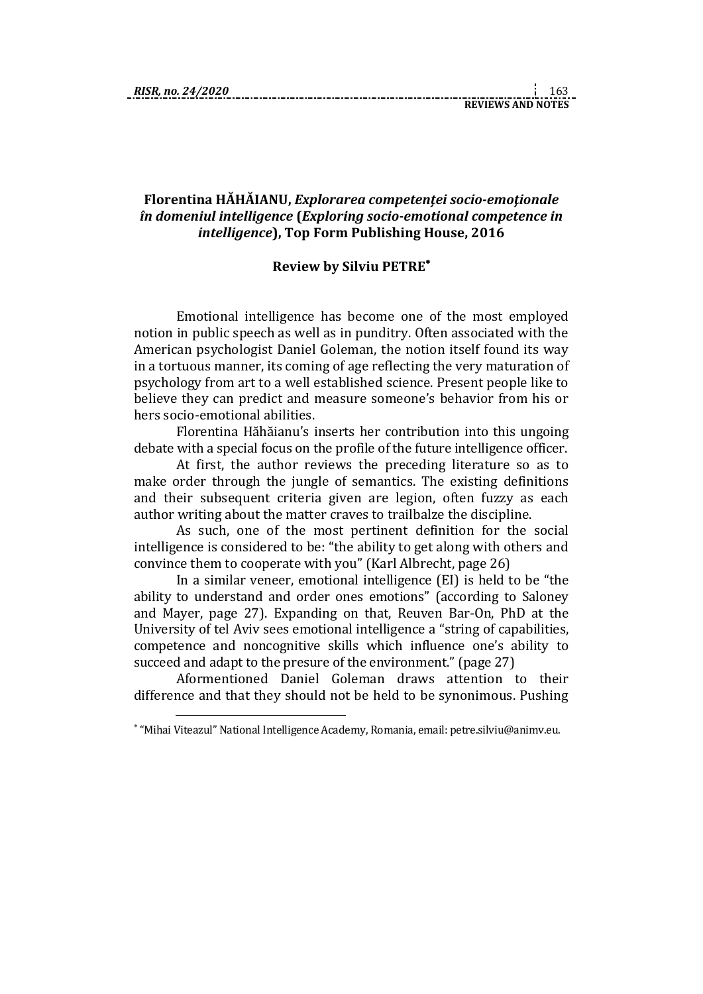1

## **Florentina HĂHĂIANU,** *Explorarea competenţei socio-emoţionale în domeniul intelligence* **(***Exploring socio-emotional competence in intelligence***), Top Form Publishing House, 2016**

## **Review by Silviu PETRE**

Emotional intelligence has become one of the most employed notion in public speech as well as in punditry. Often associated with the American psychologist Daniel Goleman, the notion itself found its way in a tortuous manner, its coming of age reflecting the very maturation of psychology from art to a well established science. Present people like to believe they can predict and measure someone's behavior from his or hers socio-emotional abilities.

Florentina Hăhăianu's inserts her contribution into this ungoing debate with a special focus on the profile of the future intelligence officer.

At first, the author reviews the preceding literature so as to make order through the jungle of semantics. The existing definitions and their subsequent criteria given are legion, often fuzzy as each author writing about the matter craves to trailbalze the discipline.

As such, one of the most pertinent definition for the social intelligence is considered to be: "the ability to get along with others and convince them to cooperate with you" (Karl Albrecht, page 26)

In a similar veneer, emotional intelligence (EI) is held to be "the ability to understand and order ones emotions" (according to Saloney and Mayer, page 27). Expanding on that, Reuven Bar-On, PhD at the University of tel Aviv sees emotional intelligence a "string of capabilities, competence and noncognitive skills which influence one's ability to succeed and adapt to the presure of the environment." (page 27)

Aformentioned Daniel Goleman draws attention to their difference and that they should not be held to be synonimous. Pushing

"Mihai Viteazul" National Intelligence Academy, Romania, email: petre.silviu@animv.eu.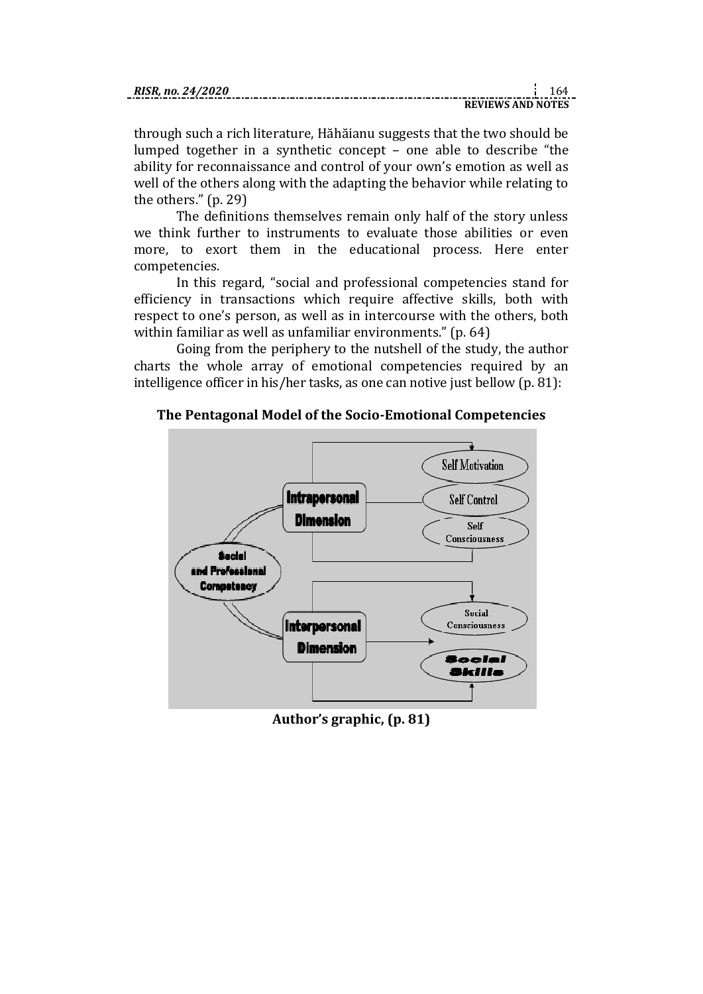| RISR. no. 24/2020 |  |  |
|-------------------|--|--|
|                   |  |  |

|  |  |  | .                        |  |
|--|--|--|--------------------------|--|
|  |  |  |                          |  |
|  |  |  |                          |  |
|  |  |  | <b>REVIEWS AND NOTES</b> |  |
|  |  |  |                          |  |
|  |  |  |                          |  |

through such a rich literature, Hăhăianu suggests that the two should be lumped together in a synthetic concept – one able to describe "the ability for reconnaissance and control of your own's emotion as well as well of the others along with the adapting the behavior while relating to the others." (p. 29)

The definitions themselves remain only half of the story unless we think further to instruments to evaluate those abilities or even more, to exort them in the educational process. Here enter competencies.

In this regard, "social and professional competencies stand for efficiency in transactions which require affective skills, both with respect to one's person, as well as in intercourse with the others, both within familiar as well as unfamiliar environments." (p. 64)

Going from the periphery to the nutshell of the study, the author charts the whole array of emotional competencies required by an intelligence officer in his/her tasks, as one can notive just bellow (p. 81):





**Author's graphic, (p. 81)**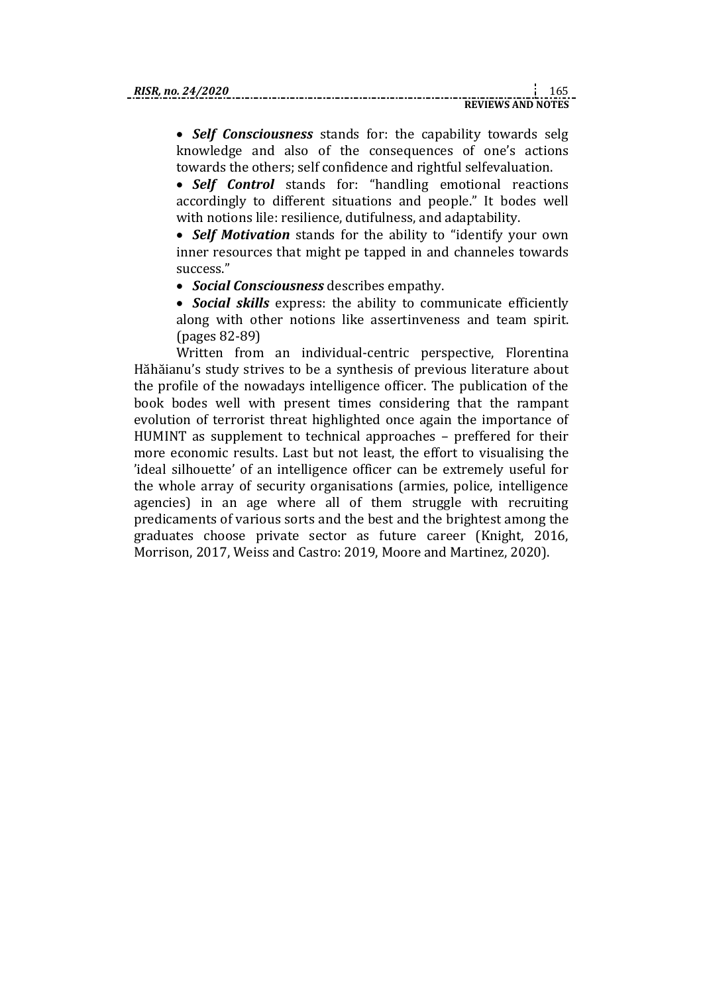*Self Consciousness* stands for: the capability towards selg knowledge and also of the consequences of one's actions towards the others; self confidence and rightful selfevaluation.

 *Self Control* stands for: "handling emotional reactions accordingly to different situations and people." It bodes well with notions lile: resilience, dutifulness, and adaptability.

 *Self Motivation* stands for the ability to "identify your own inner resources that might pe tapped in and channeles towards success."

*Social Consciousness* describes empathy.

 *Social skills* express: the ability to communicate efficiently along with other notions like assertinveness and team spirit. (pages 82-89)

Written from an individual-centric perspective, Florentina Hăhăianu's study strives to be a synthesis of previous literature about the profile of the nowadays intelligence officer. The publication of the book bodes well with present times considering that the rampant evolution of terrorist threat highlighted once again the importance of HUMINT as supplement to technical approaches – preffered for their more economic results. Last but not least, the effort to visualising the 'ideal silhouette' of an intelligence officer can be extremely useful for the whole array of security organisations (armies, police, intelligence agencies) in an age where all of them struggle with recruiting predicaments of various sorts and the best and the brightest among the graduates choose private sector as future career (Knight, 2016, Morrison, 2017, Weiss and Castro: 2019, Moore and Martinez, 2020).